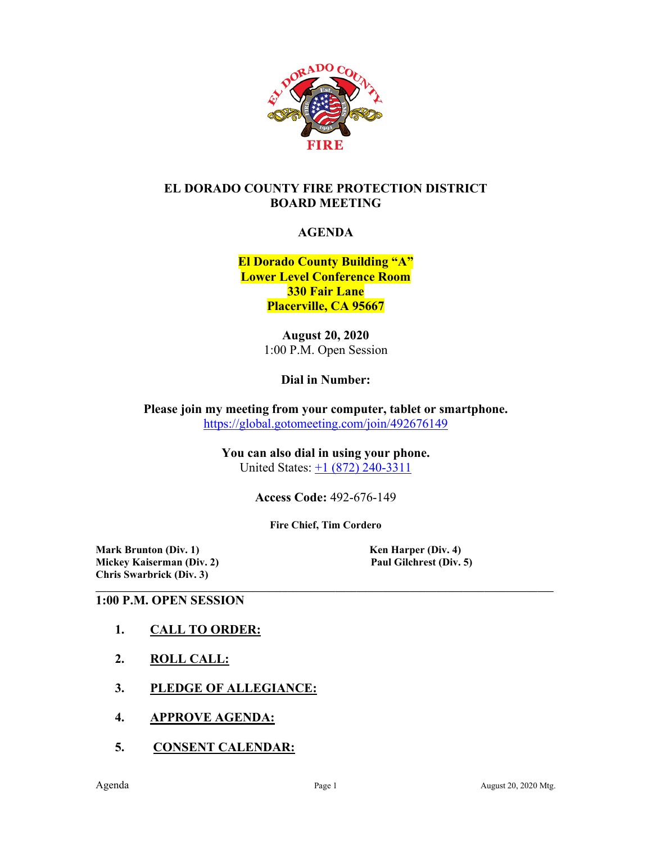

#### **EL DORADO COUNTY FIRE PROTECTION DISTRICT BOARD MEETING**

#### **AGENDA**

**El Dorado County Building "A" Lower Level Conference Room 330 Fair Lane Placerville, CA 95667**

> **August 20, 2020** 1:00 P.M. Open Session

> > **Dial in Number:**

**Please join my meeting from your computer, tablet or smartphone.**  <https://global.gotomeeting.com/join/492676149>

> **You can also dial in using your phone.** United States:  $\pm 1$  (872) 240-3311

> > **Access Code:** 492-676-149

**Fire Chief, Tim Cordero**

**Mark Brunton (Div. 1)**<br> **Mickey Kaiserman (Div. 2)**<br> **Paul Gilchrest (Div. 5) Mickey Kaiserman** (Div. 2) **Chris Swarbrick (Div. 3)**

#### **\_\_\_\_\_\_\_\_\_\_\_\_\_\_\_\_\_\_\_\_\_\_\_\_\_\_\_\_\_\_\_\_\_\_\_\_\_\_\_\_\_\_\_\_\_\_\_\_\_\_\_\_\_\_\_\_\_\_\_\_\_\_\_\_\_\_\_\_\_\_\_\_\_\_\_\_\_\_\_\_\_\_\_\_\_\_ 1:00 P.M. OPEN SESSION**

- **1. CALL TO ORDER:**
- **2. ROLL CALL:**
- **3. PLEDGE OF ALLEGIANCE:**
- **4. APPROVE AGENDA:**
- **5. CONSENT CALENDAR:**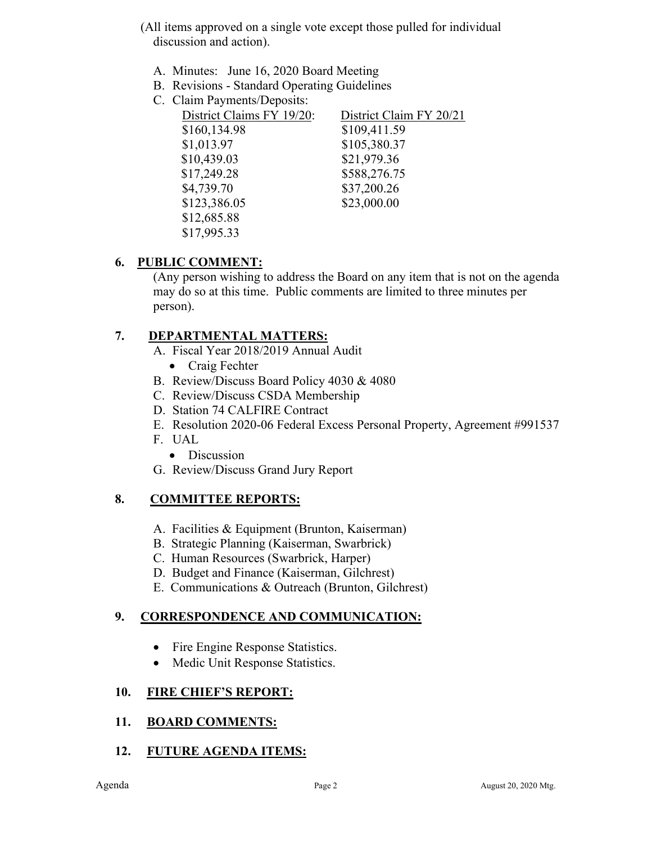- (All items approved on a single vote except those pulled for individual discussion and action).
	- A. Minutes: June 16, 2020 Board Meeting
	- B. Revisions Standard Operating Guidelines
	- C. Claim Payments/Deposits:

| District Claims FY 19/20: | District Claim FY 20/21 |
|---------------------------|-------------------------|
| \$160,134.98              | \$109,411.59            |
| \$1,013.97                | \$105,380.37            |
| \$10,439.03               | \$21,979.36             |
| \$17,249.28               | \$588,276.75            |
| \$4,739.70                | \$37,200.26             |
| \$123,386.05              | \$23,000.00             |
| \$12,685.88               |                         |
| \$17,995.33               |                         |

# **6. PUBLIC COMMENT:**

(Any person wishing to address the Board on any item that is not on the agenda may do so at this time. Public comments are limited to three minutes per person).

# **7. DEPARTMENTAL MATTERS:**

- A. Fiscal Year 2018/2019 Annual Audit
	- Craig Fechter
- B. Review/Discuss Board Policy 4030 & 4080
- C. Review/Discuss CSDA Membership
- D. Station 74 CALFIRE Contract
- E. Resolution 2020-06 Federal Excess Personal Property, Agreement #991537
- F. UAL
	- Discussion
- G. Review/Discuss Grand Jury Report

## **8. COMMITTEE REPORTS:**

- A. Facilities & Equipment (Brunton, Kaiserman)
- B. Strategic Planning (Kaiserman, Swarbrick)
- C. Human Resources (Swarbrick, Harper)
- D. Budget and Finance (Kaiserman, Gilchrest)
- E. Communications & Outreach (Brunton, Gilchrest)

## **9. CORRESPONDENCE AND COMMUNICATION:**

- Fire Engine Response Statistics.
- Medic Unit Response Statistics.

## **10. FIRE CHIEF'S REPORT:**

#### **11. BOARD COMMENTS:**

## **12. FUTURE AGENDA ITEMS:**